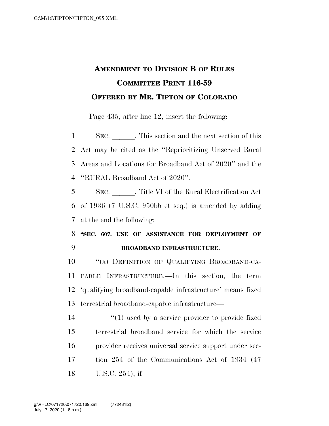## **AMENDMENT TO DIVISION B OF RULES COMMITTEE PRINT 116-59 OFFERED BY MR. TIPTON OF COLORADO**

Page 435, after line 12, insert the following:

1 SEC. This section and the next section of this Act may be cited as the ''Reprioritizing Unserved Rural Areas and Locations for Broadband Act of 2020'' and the ''RURAL Broadband Act of 2020''.

5 SEC. Title VI of the Rural Electrification Act 6 of 1936 (7 U.S.C. 950bb et seq.) is amended by adding 7 at the end the following:

8 **''SEC. 607. USE OF ASSISTANCE FOR DEPLOYMENT OF**  9 **BROADBAND INFRASTRUCTURE.** 

 ''(a) DEFINITION OF QUALIFYING BROADBAND-CA- PABLE INFRASTRUCTURE.—In this section, the term 'qualifying broadband-capable infrastructure' means fixed terrestrial broadband-capable infrastructure—

 $\mathcal{L}(1)$  used by a service provider to provide fixed terrestrial broadband service for which the service provider receives universal service support under sec- tion 254 of the Communications Act of 1934 (47 U.S.C. 254), if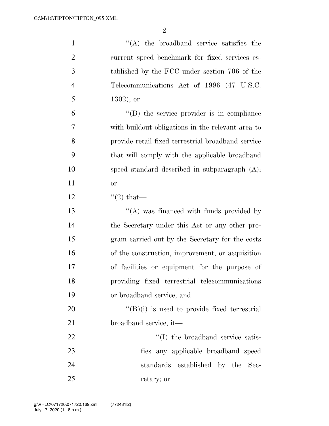| $\mathbf{1}$   | $\lq\lq$ the broadband service satisfies the         |
|----------------|------------------------------------------------------|
| $\overline{2}$ | current speed benchmark for fixed services es-       |
| 3              | tablished by the FCC under section 706 of the        |
| $\overline{4}$ | Telecommunications Act of 1996 (47 U.S.C.            |
| 5              | $1302$ ); or                                         |
| 6              | $\lq\lq$ the service provider is in compliance       |
| 7              | with build out obligations in the relevant area to   |
| 8              | provide retail fixed terrestrial broadband service   |
| 9              | that will comply with the applicable broadband       |
| 10             | speed standard described in subparagraph $(A)$ ;     |
| 11             | or                                                   |
| 12             | $\lq(2)$ that—                                       |
| 13             | "(A) was financed with funds provided by             |
| 14             | the Secretary under this Act or any other pro-       |
| 15             | gram carried out by the Secretary for the costs      |
| 16             | of the construction, improvement, or acquisition     |
| 17             | of facilities or equipment for the purpose of        |
| 18             | providing fixed terrestrial telecommunications       |
| 19             | or broadband service; and                            |
| 20             | $\lq\lq (B)(i)$ is used to provide fixed terrestrial |
| 21             | broadband service, if—                               |
| 22             | "(I) the broadband service satis-                    |
| 23             | fies any applicable broadband speed                  |
| 24             | standards established by the Sec-                    |
| 25             | retary; or                                           |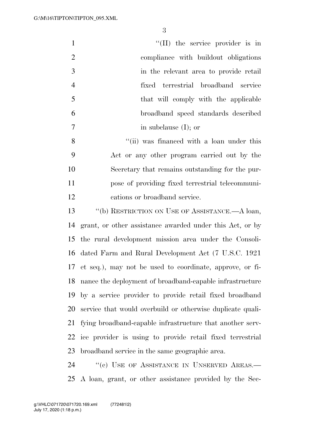| $\mathbf{1}$        | $\lq\lq$ (II) the service provider is in                       |  |
|---------------------|----------------------------------------------------------------|--|
| $\overline{2}$      | compliance with buildout obligations                           |  |
| 3                   | in the relevant area to provide retail                         |  |
| $\overline{4}$      | fixed terrestrial broadband service                            |  |
| 5                   | that will comply with the applicable                           |  |
| 6                   | broadband speed standards described                            |  |
| 7                   | in subclause $(I)$ ; or                                        |  |
| 8                   | "(ii) was financed with a loan under this                      |  |
| 9                   | Act or any other program carried out by the                    |  |
| 10                  | Secretary that remains outstanding for the pur-                |  |
| 11                  | pose of providing fixed terrestrial telecommuni-               |  |
| 12                  | cations or broadband service.                                  |  |
| 13                  | $\lq\lq(b)$ RESTRICTION ON USE OF ASSISTANCE.—A loan,          |  |
| 14                  | grant, or other assistance awarded under this Act, or by       |  |
| 15                  | the rural development mission area under the Consoli-          |  |
| 16                  | dated Farm and Rural Development Act (7 U.S.C. 1921)           |  |
|                     | 17 et seq.), may not be used to coordinate, approve, or fi-    |  |
|                     | 18 nance the deployment of broadband-capable infrastructure    |  |
| 19                  | by a service provider to provide retail fixed broadband        |  |
| 20                  | service that would overbuild or otherwise duplicate quali-     |  |
| 21                  | fying broadband-capable infrastructure that another serv-      |  |
| 22                  | ice provider is using to provide retail fixed terrestrial      |  |
| 23                  | broadband service in the same geographic area.                 |  |
| $\bigcap$ $\bigcap$ | $\mathcal{U} \cup \mathbf{I}$ or $\mathbf{A}$ are $\mathbf{A}$ |  |

24 "(c) USE OF ASSISTANCE IN UNSERVED AREAS.— A loan, grant, or other assistance provided by the Sec-